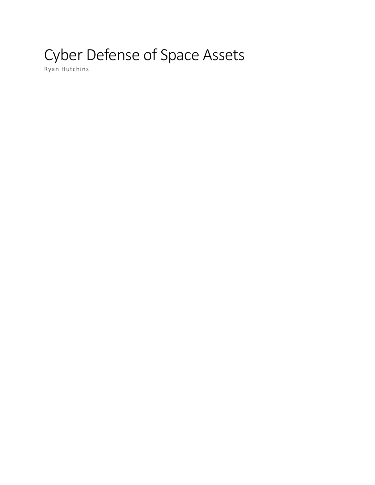# Cyber Defense of Space Assets

Ryan Hutchins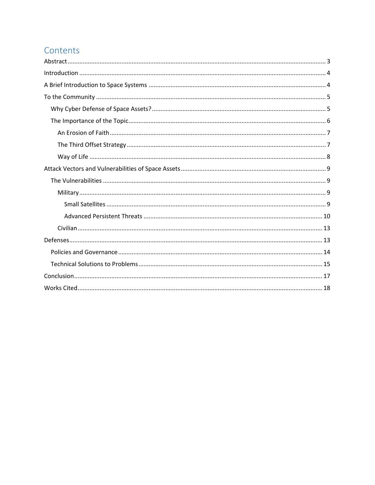# Contents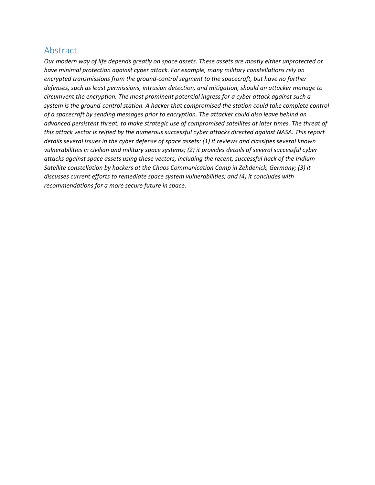## <span id="page-2-0"></span>Abstract

*Our modern way of life depends greatly on space assets. These assets are mostly either unprotected or have minimal protection against cyber attack. For example, many military constellations rely on encrypted transmissions from the ground-control segment to the spacecraft, but have no further defenses, such as least permissions, intrusion detection, and mitigation, should an attacker manage to circumvent the encryption. The most prominent potential ingress for a cyber attack against such a system is the ground-control station. A hacker that compromised the station could take complete control of a spacecraft by sending messages prior to encryption. The attacker could also leave behind an advanced persistent threat, to make strategic use of compromised satellites at later times. The threat of this attack vector is reified by the numerous successful cyber attacks directed against NASA. This report details several issues in the cyber defense of space assets: (1) it reviews and classifies several known vulnerabilities in civilian and military space systems; (2) it provides details of several successful cyber attacks against space assets using these vectors, including the recent, successful hack of the Iridium Satellite constellation by hackers at the Chaos Communication Camp in Zehdenick, Germany; (3) it discusses current efforts to remediate space system vulnerabilities; and (4) it concludes with recommendations for a more secure future in space.*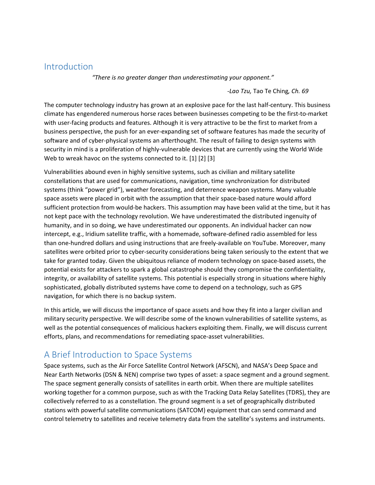## <span id="page-3-0"></span>Introduction

*"There is no greater danger than underestimating your opponent."*

*-Lao Tzu,* Tao Te Ching*, Ch. 69*

The computer technology industry has grown at an explosive pace for the last half-century. This business climate has engendered numerous horse races between businesses competing to be the first-to-market with user-facing products and features. Although it is very attractive to be the first to market from a business perspective, the push for an ever-expanding set of software features has made the security of software and of cyber-physical systems an afterthought. The result of failing to design systems with security in mind is a proliferation of highly-vulnerable devices that are currently using the World Wide Web to wreak havoc on the systems connected to it. [1] [2] [3]

Vulnerabilities abound even in highly sensitive systems, such as civilian and military satellite constellations that are used for communications, navigation, time synchronization for distributed systems (think "power grid"), weather forecasting, and deterrence weapon systems. Many valuable space assets were placed in orbit with the assumption that their space-based nature would afford sufficient protection from would-be hackers. This assumption may have been valid at the time, but it has not kept pace with the technology revolution. We have underestimated the distributed ingenuity of humanity, and in so doing, we have underestimated our opponents. An individual hacker can now intercept, e.g., Iridium satellite traffic, with a homemade, software-defined radio assembled for less than one-hundred dollars and using instructions that are freely-available on YouTube. Moreover, many satellites were orbited prior to cyber-security considerations being taken seriously to the extent that we take for granted today. Given the ubiquitous reliance of modern technology on space-based assets, the potential exists for attackers to spark a global catastrophe should they compromise the confidentiality, integrity, or availability of satellite systems. This potential is especially strong in situations where highly sophisticated, globally distributed systems have come to depend on a technology, such as GPS navigation, for which there is no backup system.

In this article, we will discuss the importance of space assets and how they fit into a larger civilian and military security perspective. We will describe some of the known vulnerabilities of satellite systems, as well as the potential consequences of malicious hackers exploiting them. Finally, we will discuss current efforts, plans, and recommendations for remediating space-asset vulnerabilities.

# <span id="page-3-1"></span>A Brief Introduction to Space Systems

Space systems, such as the Air Force Satellite Control Network (AFSCN), and NASA's Deep Space and Near Earth Networks (DSN & NEN) comprise two types of asset: a space segment and a ground segment. The space segment generally consists of satellites in earth orbit. When there are multiple satellites working together for a common purpose, such as with the Tracking Data Relay Satellites (TDRS), they are collectively referred to as a constellation. The ground segment is a set of geographically distributed stations with powerful satellite communications (SATCOM) equipment that can send command and control telemetry to satellites and receive telemetry data from the satellite's systems and instruments.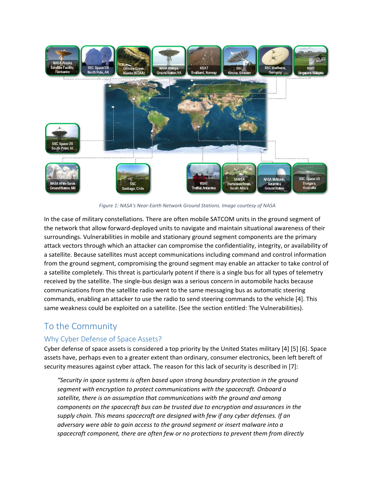

*Figure 1: NASA's Near-Earth Network Ground Stations. Image courtesy of NASA*

In the case of military constellations. There are often mobile SATCOM units in the ground segment of the network that allow forward-deployed units to navigate and maintain situational awareness of their surroundings. Vulnerabilities in mobile and stationary ground segment components are the primary attack vectors through which an attacker can compromise the confidentiality, integrity, or availability of a satellite. Because satellites must accept communications including command and control information from the ground segment, compromising the ground segment may enable an attacker to take control of a satellite completely. This threat is particularly potent if there is a single bus for all types of telemetry received by the satellite. The single-bus design was a serious concern in automobile hacks because communications from the satellite radio went to the same messaging bus as automatic steering commands, enabling an attacker to use the radio to send steering commands to the vehicle [4]. This same weakness could be exploited on a satellite. (See the section entitled: [The Vulnerabilities\)](#page-8-1).

# <span id="page-4-0"></span>To the Community

## <span id="page-4-1"></span>Why Cyber Defense of Space Assets?

Cyber defense of space assets is considered a top priority by the United States military [4] [5] [6]. Space assets have, perhaps even to a greater extent than ordinary, consumer electronics, been left bereft of security measures against cyber attack. The reason for this lack of security is described in [7]:

*"Security in space systems is often based upon strong boundary protection in the ground segment with encryption to protect communications with the spacecraft. Onboard a satellite, there is an assumption that communications with the ground and among components on the spacecraft bus can be trusted due to encryption and assurances in the supply chain. This means spacecraft are designed with few if any cyber defenses. If an adversary were able to gain access to the ground segment or insert malware into a spacecraft component, there are often few or no protections to prevent them from directly*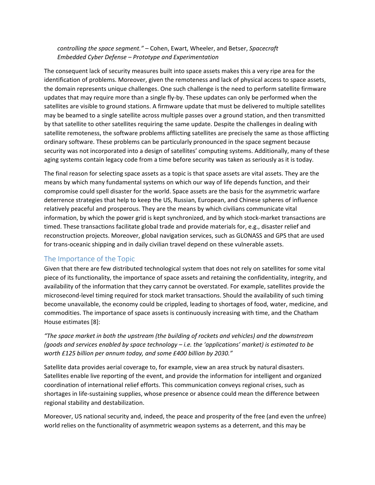## *controlling the space segment."* – Cohen, Ewart, Wheeler, and Betser, *Spacecraft Embedded Cyber Defense – Prototype and Experimentation*

The consequent lack of security measures built into space assets makes this a very ripe area for the identification of problems. Moreover, given the remoteness and lack of physical access to space assets, the domain represents unique challenges. One such challenge is the need to perform satellite firmware updates that may require more than a single fly-by. These updates can only be performed when the satellites are visible to ground stations. A firmware update that must be delivered to multiple satellites may be beamed to a single satellite across multiple passes over a ground station, and then transmitted by that satellite to other satellites requiring the same update. Despite the challenges in dealing with satellite remoteness, the software problems afflicting satellites are precisely the same as those afflicting ordinary software. These problems can be particularly pronounced in the space segment because security was not incorporated into a design of satellites' computing systems. Additionally, many of these aging systems contain legacy code from a time before security was taken as seriously as it is today.

The final reason for selecting space assets as a topic is that space assets are vital assets. They are the means by which many fundamental systems on which our way of life depends function, and their compromise could spell disaster for the world. Space assets are the basis for the asymmetric warfare deterrence strategies that help to keep the US, Russian, European, and Chinese spheres of influence relatively peaceful and prosperous. They are the means by which civilians communicate vital information, by which the power grid is kept synchronized, and by which stock-market transactions are timed. These transactions facilitate global trade and provide materials for, e.g., disaster relief and reconstruction projects. Moreover, global navigation services, such as GLONASS and GPS that are used for trans-oceanic shipping and in daily civilian travel depend on these vulnerable assets.

## <span id="page-5-0"></span>The Importance of the Topic

Given that there are few distributed technological system that does not rely on satellites for some vital piece of its functionality, the importance of space assets and retaining the confidentiality, integrity, and availability of the information that they carry cannot be overstated. For example, satellites provide the microsecond-level timing required for stock market transactions. Should the availability of such timing become unavailable, the economy could be crippled, leading to shortages of food, water, medicine, and commodities. The importance of space assets is continuously increasing with time, and the Chatham House estimates [8]:

## *"The space market in both the upstream (the building of rockets and vehicles) and the downstream (goods and services enabled by space technology – i.e. the 'applications' market) is estimated to be worth £125 billion per annum today, and some £400 billion by 2030."*

Satellite data provides aerial coverage to, for example, view an area struck by natural disasters. Satellites enable live reporting of the event, and provide the information for intelligent and organized coordination of international relief efforts. This communication conveys regional crises, such as shortages in life-sustaining supplies, whose presence or absence could mean the difference between regional stability and destabilization.

Moreover, US national security and, indeed, the peace and prosperity of the free (and even the unfree) world relies on the functionality of asymmetric weapon systems as a deterrent, and this may be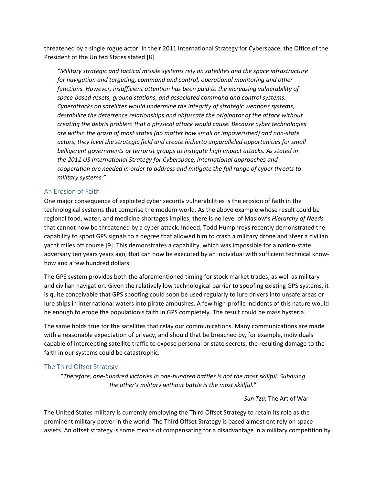threatened by a single rogue actor. In their 2011 International Strategy for Cyberspace, the Office of the President of the United States stated [8]

*"Military strategic and tactical missile systems rely on satellites and the space infrastructure for navigation and targeting, command and control, operational monitoring and other functions. However, insufficient attention has been paid to the increasing vulnerability of space-based assets, ground stations, and associated command and control systems. Cyberattacks on satellites would undermine the integrity of strategic weapons systems, destabilize the deterrence relationships and obfuscate the originator of the attack without creating the debris problem that a physical attack would cause. Because cyber technologies are within the grasp of most states (no matter how small or impoverished) and non-state actors, they level the strategic field and create hitherto unparalleled opportunities for small belligerent governments or terrorist groups to instigate high impact attacks. As stated in the 2011 US International Strategy for Cyberspace, international approaches and cooperation are needed in order to address and mitigate the full range of cyber threats to military systems."*

#### <span id="page-6-0"></span>An Erosion of Faith

One major consequence of exploited cyber security vulnerabilities is the erosion of faith in the technological systems that comprise the modern world. As the above example whose result could be regional food, water, and medicine shortages implies, there is no level of Maslow's *Hierarchy of Needs* that cannot now be threatened by a cyber attack. Indeed, Todd Humphreys recently demonstrated the capability to spoof GPS signals to a degree that allowed him to crash a military drone and steer a civilian yacht miles off course [9]. This demonstrates a capability, which was impossible for a nation-state adversary ten years years ago, that can now be executed by an individual with sufficient technical knowhow and a few hundred dollars.

The GPS system provides both the aforementioned timing for stock market trades, as well as military and civilian navigation. Given the relatively low technological barrier to spoofing existing GPS systems, it is quite conceivable that GPS spoofing could soon be used regularly to lure drivers into unsafe areas or lure ships in international waters into pirate ambushes. A few high-profile incidents of this nature would be enough to erode the population's faith in GPS completely. The result could be mass hysteria.

The same holds true for the satellites that relay our communications. Many communications are made with a reasonable expectation of privacy, and should that be breached by, for example, individuals capable of intercepting satellite traffic to expose personal or state secrets, the resulting damage to the faith in our systems could be catastrophic.

#### <span id="page-6-1"></span>The Third Offset Strategy

"*Therefore, one-hundred victories in one-hundred battles is not the most skillful. Subduing the other's military without battle is the most skillful.*"

*-Sun Tzu,* The Art of War

The United States military is currently employing the Third Offset Strategy to retain its role as the prominent military power in the world. The Third Offset Strategy is based almost entirely on space assets. An offset strategy is some means of compensating for a disadvantage in a military competition by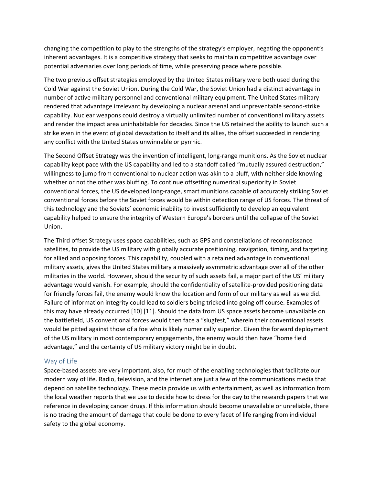changing the competition to play to the strengths of the strategy's employer, negating the opponent's inherent advantages. It is a competitive strategy that seeks to maintain competitive advantage over potential adversaries over long periods of time, while preserving peace where possible.

The two previous offset strategies employed by the United States military were both used during the Cold War against the Soviet Union. During the Cold War, the Soviet Union had a distinct advantage in number of active military personnel and conventional military equipment. The United States military rendered that advantage irrelevant by developing a nuclear arsenal and unpreventable second-strike capability. Nuclear weapons could destroy a virtually unlimited number of conventional military assets and render the impact area uninhabitable for decades. Since the US retained the ability to launch such a strike even in the event of global devastation to itself and its allies, the offset succeeded in rendering any conflict with the United States unwinnable or pyrrhic.

The Second Offset Strategy was the invention of intelligent, long-range munitions. As the Soviet nuclear capability kept pace with the US capability and led to a standoff called "mutually assured destruction," willingness to jump from conventional to nuclear action was akin to a bluff, with neither side knowing whether or not the other was bluffing. To continue offsetting numerical superiority in Soviet conventional forces, the US developed long-range, smart munitions capable of accurately striking Soviet conventional forces before the Soviet forces would be within detection range of US forces. The threat of this technology and the Soviets' economic inability to invest sufficiently to develop an equivalent capability helped to ensure the integrity of Western Europe's borders until the collapse of the Soviet Union.

The Third offset Strategy uses space capabilities, such as GPS and constellations of reconnaissance satellites, to provide the US military with globally accurate positioning, navigation, timing, and targeting for allied and opposing forces. This capability, coupled with a retained advantage in conventional military assets, gives the United States military a massively asymmetric advantage over all of the other militaries in the world. However, should the security of such assets fail, a major part of the US' military advantage would vanish. For example, should the confidentiality of satellite-provided positioning data for friendly forces fail, the enemy would know the location and form of our military as well as we did. Failure of information integrity could lead to soldiers being tricked into going off course. Examples of this may have already occurred [10] [11]. Should the data from US space assets become unavailable on the battlefield, US conventional forces would then face a "slugfest," wherein their conventional assets would be pitted against those of a foe who is likely numerically superior. Given the forward deployment of the US military in most contemporary engagements, the enemy would then have "home field advantage," and the certainty of US military victory might be in doubt.

#### <span id="page-7-0"></span>Way of Life

Space-based assets are very important, also, for much of the enabling technologies that facilitate our modern way of life. Radio, television, and the internet are just a few of the communications media that depend on satellite technology. These media provide us with entertainment, as well as information from the local weather reports that we use to decide how to dress for the day to the research papers that we reference in developing cancer drugs. If this information should become unavailable or unreliable, there is no tracing the amount of damage that could be done to every facet of life ranging from individual safety to the global economy.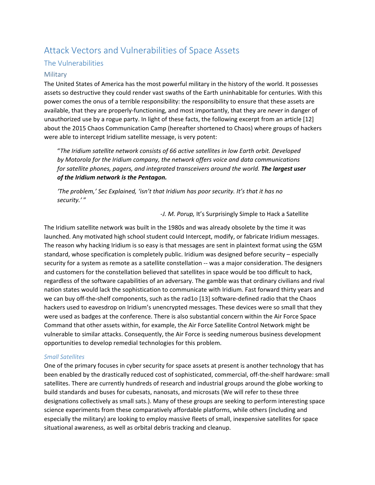# <span id="page-8-0"></span>Attack Vectors and Vulnerabilities of Space Assets

## <span id="page-8-1"></span>The Vulnerabilities

#### <span id="page-8-2"></span>Military

The United States of America has the most powerful military in the history of the world. It possesses assets so destructive they could render vast swaths of the Earth uninhabitable for centuries. With this power comes the onus of a terrible responsibility: the responsibility to ensure that these assets are available, that they are properly-functioning, and most importantly, that they are *never* in danger of unauthorized use by a rogue party. In light of these facts, the following excerpt from an article [12] about the 2015 Chaos Communication Camp (hereafter shortened to Chaos) where groups of hackers were able to intercept Iridium satellite message, is very potent:

"*The Iridium satellite network consists of 66 active satellites in low Earth orbit. Developed by Motorola for the Iridium company, the network offers voice and data communications for satellite phones, pagers, and integrated transceivers around the world. The largest user of the Iridium network is the Pentagon.*

*'The problem,' Sec Explained, 'isn't that Iridium has poor security. It's that it has no security.'* "

-*J. M. Porup,* It's Surprisingly Simple to Hack a Satellite

The Iridium satellite network was built in the 1980s and was already obsolete by the time it was launched. Any motivated high school student could Intercept, modify, or fabricate Iridium messages. The reason why hacking Iridium is so easy is that messages are sent in plaintext format using the GSM standard, whose specification is completely public. Iridium was designed before security – especially security for a system as remote as a satellite constellation -- was a major consideration. The designers and customers for the constellation believed that satellites in space would be too difficult to hack, regardless of the software capabilities of an adversary. The gamble was that ordinary civilians and rival nation states would lack the sophistication to communicate with Iridium. Fast forward thirty years and we can buy off-the-shelf components, such as the rad1o [13] software-defined radio that the Chaos hackers used to eavesdrop on Iridium's unencrypted messages. These devices were so small that they were used as badges at the conference. There is also substantial concern within the Air Force Space Command that other assets within, for example, the Air Force Satellite Control Network might be vulnerable to similar attacks. Consequently, the Air Force is seeding numerous business development opportunities to develop remedial technologies for this problem.

#### <span id="page-8-3"></span>*Small Satellites*

One of the primary focuses in cyber security for space assets at present is another technology that has been enabled by the drastically reduced cost of sophisticated, commercial, off-the-shelf hardware: small satellites. There are currently hundreds of research and industrial groups around the globe working to build standards and buses for cubesats, nanosats, and microsats (We will refer to these three designations collectively as small sats.). Many of these groups are seeking to perform interesting space science experiments from these comparatively affordable platforms, while others (including and especially the military) are looking to employ massive fleets of small, inexpensive satellites for space situational awareness, as well as orbital debris tracking and cleanup.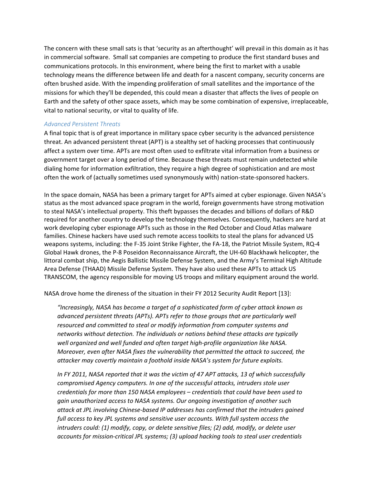The concern with these small sats is that 'security as an afterthought' will prevail in this domain as it has in commercial software. Small sat companies are competing to produce the first standard buses and communications protocols. In this environment, where being the first to market with a usable technology means the difference between life and death for a nascent company, security concerns are often brushed aside. With the impending proliferation of small satellites and the importance of the missions for which they'll be depended, this could mean a disaster that affects the lives of people on Earth and the safety of other space assets, which may be some combination of expensive, irreplaceable, vital to national security, or vital to quality of life.

#### <span id="page-9-0"></span>*Advanced Persistent Threats*

A final topic that is of great importance in military space cyber security is the advanced persistence threat. An advanced persistent threat (APT) is a stealthy set of hacking processes that continuously affect a system over time. APTs are most often used to exfiltrate vital information from a business or government target over a long period of time. Because these threats must remain undetected while dialing home for information exfiltration, they require a high degree of sophistication and are most often the work of (actually sometimes used synonymously with) nation-state-sponsored hackers.

In the space domain, NASA has been a primary target for APTs aimed at cyber espionage. Given NASA's status as the most advanced space program in the world, foreign governments have strong motivation to steal NASA's intellectual property. This theft bypasses the decades and billions of dollars of R&D required for another country to develop the technology themselves. Consequently, hackers are hard at work developing cyber espionage APTs such as those in the Red October and Cloud Atlas malware families. Chinese hackers have used such remote access toolkits to steal the plans for advanced US weapons systems, including: the F-35 Joint Strike Fighter, the FA-18, the Patriot Missile System, RQ-4 Global Hawk drones, the P-8 Poseidon Reconnaissance Aircraft, the UH-60 Blackhawk helicopter, the littoral combat ship, the Aegis Ballistic Missile Defense System, and the Army's Terminal High Altitude Area Defense (THAAD) Missile Defense System. They have also used these APTs to attack US TRANSCOM, the agency responsible for moving US troops and military equipment around the world.

NASA drove home the direness of the situation in their FY 2012 Security Audit Report [13]:

*"Increasingly, NASA has become a target of a sophisticated form of cyber attack known as advanced persistent threats (APTs). APTs refer to those groups that are particularly well resourced and committed to steal or modify information from computer systems and networks without detection. The individuals or nations behind these attacks are typically well organized and well funded and often target high-profile organization like NASA. Moreover, even after NASA fixes the vulnerability that permitted the attack to succeed, the attacker may covertly maintain a foothold inside NASA's system for future exploits.*

*In FY 2011, NASA reported that it was the victim of 47 APT attacks, 13 of which successfully compromised Agency computers. In one of the successful attacks, intruders stole user credentials for more than 150 NASA employees – credentials that could have been used to gain unauthorized access to NASA systems. Our ongoing investigation of another such attack at JPL involving Chinese-based IP addresses has confirmed that the intruders gained full access to key JPL systems and sensitive user accounts. With full system access the intruders could: (1) modify, copy, or delete sensitive files; (2) add, modify, or delete user accounts for mission-critical JPL systems; (3) upload hacking tools to steal user credentials*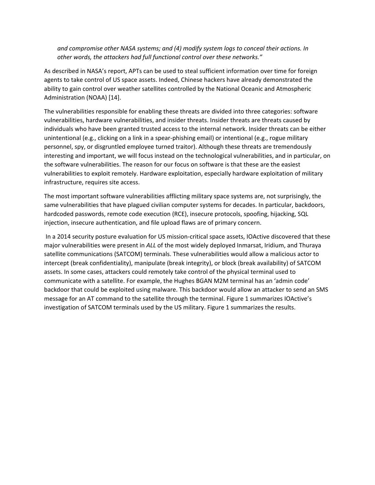*and compromise other NASA systems; and (4) modify system logs to conceal their actions. In other words, the attackers had full functional control over these networks."*

As described in NASA's report, APTs can be used to steal sufficient information over time for foreign agents to take control of US space assets. Indeed, Chinese hackers have already demonstrated the ability to gain control over weather satellites controlled by the National Oceanic and Atmospheric Administration (NOAA) [14].

The vulnerabilities responsible for enabling these threats are divided into three categories: software vulnerabilities, hardware vulnerabilities, and insider threats. Insider threats are threats caused by individuals who have been granted trusted access to the internal network. Insider threats can be either unintentional (e.g., clicking on a link in a spear-phishing email) or intentional (e.g., rogue military personnel, spy, or disgruntled employee turned traitor). Although these threats are tremendously interesting and important, we will focus instead on the technological vulnerabilities, and in particular, on the software vulnerabilities. The reason for our focus on software is that these are the easiest vulnerabilities to exploit remotely. Hardware exploitation, especially hardware exploitation of military infrastructure, requires site access.

The most important software vulnerabilities afflicting military space systems are, not surprisingly, the same vulnerabilities that have plagued civilian computer systems for decades. In particular, backdoors, hardcoded passwords, remote code execution (RCE), insecure protocols, spoofing, hijacking, SQL injection, insecure authentication, and file upload flaws are of primary concern.

In a 2014 security posture evaluation for US mission-critical space assets, IOActive discovered that these major vulnerabilities were present in *ALL* of the most widely deployed Inmarsat, Iridium, and Thuraya satellite communications (SATCOM) terminals. These vulnerabilities would allow a malicious actor to intercept (break confidentiality), manipulate (break integrity), or block (break availability) of SATCOM assets. In some cases, attackers could remotely take control of the physical terminal used to communicate with a satellite. For example, the Hughes BGAN M2M terminal has an 'admin code' backdoor that could be exploited using malware. This backdoor would allow an attacker to send an SMS message for an AT command to the satellite through the terminal. [Figure 1](#page-11-0) summarizes IOActive's investigation of SATCOM terminals used by the US military. [Figure 1](#page-11-0) summarizes the results.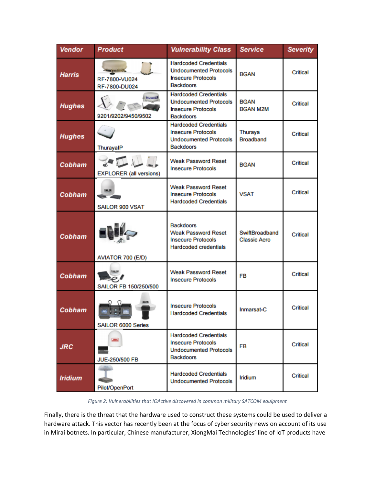| Vendor         | <b>Product</b>                       | <b>Vulnerability Class</b>                                                                                     | <b>Service</b>                        | <b>Severity</b> |
|----------------|--------------------------------------|----------------------------------------------------------------------------------------------------------------|---------------------------------------|-----------------|
| <b>Harris</b>  | RF-7800-VU024<br>RF-7800-DU024       | <b>Hardcoded Credentials</b><br><b>Undocumented Protocols</b><br><b>Insecure Protocols</b><br><b>Backdoors</b> | <b>BGAN</b>                           | <b>Critical</b> |
| <b>Hughes</b>  | <b>NUGHER</b><br>9201/9202/9450/9502 | <b>Hardcoded Credentials</b><br><b>Undocumented Protocols</b><br><b>Insecure Protocols</b><br><b>Backdoors</b> | <b>BGAN</b><br><b>BGAN M2M</b>        | <b>Critical</b> |
| <b>Hughes</b>  | ThurayalP                            | <b>Hardcoded Credentials</b><br><b>Insecure Protocols</b><br><b>Undocumented Protocols</b><br><b>Backdoors</b> | Thuraya<br><b>Broadband</b>           | <b>Critical</b> |
| Cobham         | <b>EXPLORER</b> (all versions)       | <b>Weak Password Reset</b><br><b>Insecure Protocols</b>                                                        | <b>BGAN</b>                           | Critical        |
| Cobham         | <b>SALOR</b><br>SAILOR 900 VSAT      | <b>Weak Password Reset</b><br><b>Insecure Protocols</b><br><b>Hardcoded Credentials</b>                        | <b>VSAT</b>                           | Critical        |
| Cobham         | AVIATOR 700 (E/D)                    | <b>Backdoors</b><br><b>Weak Password Reset</b><br><b>Insecure Protocols</b><br><b>Hardcoded credentials</b>    | SwiftBroadband<br><b>Classic Aero</b> | Critical        |
| Cobham         | \$411.08<br>SAILOR FB 150/250/500    | <b>Weak Password Reset</b><br><b>Insecure Protocols</b>                                                        | FB                                    | Critical        |
| <b>Cobham</b>  | 544.97<br>SAILOR 6000 Series         | <b>Insecure Protocols</b><br><b>Hardcoded Credentials</b>                                                      | Inmarsat-C                            | <b>Critical</b> |
| <b>JRC</b>     | <b>JRC</b><br><b>JUE-250/500 FB</b>  | <b>Hardcoded Credentials</b><br><b>Insecure Protocols</b><br><b>Undocumented Protocols</b><br><b>Backdoors</b> | FB                                    | <b>Critical</b> |
| <b>Iridium</b> | Pilot/OpenPort                       | <b>Hardcoded Credentials</b><br><b>Undocumented Protocols</b>                                                  | <b>Iridium</b>                        | Critical        |

*Figure 2: Vulnerabilities that IOActive discovered in common military SATCOM equipment*

<span id="page-11-0"></span>Finally, there is the threat that the hardware used to construct these systems could be used to deliver a hardware attack. This vector has recently been at the focus of cyber security news on account of its use in Mirai botnets. In particular, Chinese manufacturer, XiongMai Technologies' line of IoT products have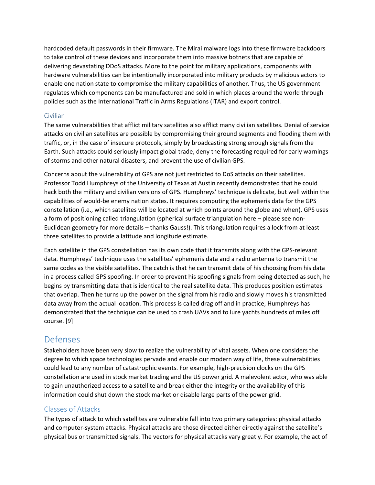hardcoded default passwords in their firmware. The Mirai malware logs into these firmware backdoors to take control of these devices and incorporate them into massive botnets that are capable of delivering devastating DDoS attacks. More to the point for military applications, components with hardware vulnerabilities can be intentionally incorporated into military products by malicious actors to enable one nation state to compromise the military capabilities of another. Thus, the US government regulates which components can be manufactured and sold in which places around the world through policies such as the International Traffic in Arms Regulations (ITAR) and export control.

## <span id="page-12-0"></span>Civilian

The same vulnerabilities that afflict military satellites also afflict many civilian satellites. Denial of service attacks on civilian satellites are possible by compromising their ground segments and flooding them with traffic, or, in the case of insecure protocols, simply by broadcasting strong enough signals from the Earth. Such attacks could seriously impact global trade, deny the forecasting required for early warnings of storms and other natural disasters, and prevent the use of civilian GPS.

Concerns about the vulnerability of GPS are not just restricted to DoS attacks on their satellites. Professor Todd Humphreys of the University of Texas at Austin recently demonstrated that he could hack both the military and civilian versions of GPS. Humphreys' technique is delicate, but well within the capabilities of would-be enemy nation states. It requires computing the ephemeris data for the GPS constellation (i.e., which satellites will be located at which points around the globe and when). GPS uses a form of positioning called triangulation (spherical surface triangulation here – please see non-Euclidean geometry for more details – thanks Gauss!). This triangulation requires a lock from at least three satellites to provide a latitude and longitude estimate.

Each satellite in the GPS constellation has its own code that it transmits along with the GPS-relevant data. Humphreys' technique uses the satellites' ephemeris data and a radio antenna to transmit the same codes as the visible satellites. The catch is that he can transmit data of his choosing from his data in a process called GPS spoofing. In order to prevent his spoofing signals from being detected as such, he begins by transmitting data that is identical to the real satellite data. This produces position estimates that overlap. Then he turns up the power on the signal from his radio and slowly moves his transmitted data away from the actual location. This process is called drag off and in practice, Humphreys has demonstrated that the technique can be used to crash UAVs and to lure yachts hundreds of miles off course. [9]

## <span id="page-12-1"></span>Defenses

Stakeholders have been very slow to realize the vulnerability of vital assets. When one considers the degree to which space technologies pervade and enable our modern way of life, these vulnerabilities could lead to any number of catastrophic events. For example, high-precision clocks on the GPS constellation are used in stock market trading and the US power grid. A malevolent actor, who was able to gain unauthorized access to a satellite and break either the integrity or the availability of this information could shut down the stock market or disable large parts of the power grid.

## Classes of Attacks

The types of attack to which satellites are vulnerable fall into two primary categories: physical attacks and computer-system attacks. Physical attacks are those directed either directly against the satellite's physical bus or transmitted signals. The vectors for physical attacks vary greatly. For example, the act of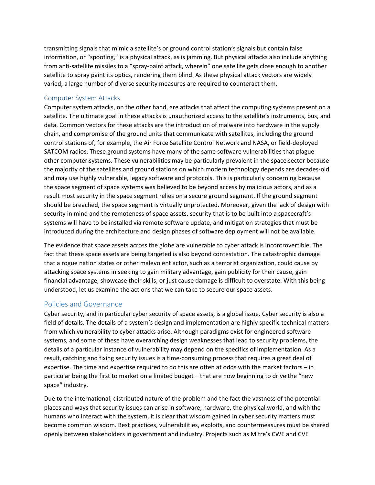transmitting signals that mimic a satellite's or ground control station's signals but contain false information, or "spoofing," is a physical attack, as is jamming. But physical attacks also include anything from anti-satellite missiles to a "spray-paint attack, wherein" one satellite gets close enough to another satellite to spray paint its optics, rendering them blind. As these physical attack vectors are widely varied, a large number of diverse security measures are required to counteract them.

#### Computer System Attacks

Computer system attacks, on the other hand, are attacks that affect the computing systems present on a satellite. The ultimate goal in these attacks is unauthorized access to the satellite's instruments, bus, and data. Common vectors for these attacks are the introduction of malware into hardware in the supply chain, and compromise of the ground units that communicate with satellites, including the ground control stations of, for example, the Air Force Satellite Control Network and NASA, or field-deployed SATCOM radios. These ground systems have many of the same software vulnerabilities that plague other computer systems. These vulnerabilities may be particularly prevalent in the space sector because the majority of the satellites and ground stations on which modern technology depends are decades-old and may use highly vulnerable, legacy software and protocols. This is particularly concerning because the space segment of space systems was believed to be beyond access by malicious actors, and as a result most security in the space segment relies on a secure ground segment. If the ground segment should be breached, the space segment is virtually unprotected. Moreover, given the lack of design with security in mind and the remoteness of space assets, security that is to be built into a spacecraft's systems will have to be installed via remote software update, and mitigation strategies that must be introduced during the architecture and design phases of software deployment will not be available.

The evidence that space assets across the globe are vulnerable to cyber attack is incontrovertible. The fact that these space assets are being targeted is also beyond contestation. The catastrophic damage that a rogue nation states or other malevolent actor, such as a terrorist organization, could cause by attacking space systems in seeking to gain military advantage, gain publicity for their cause, gain financial advantage, showcase their skills, or just cause damage is difficult to overstate. With this being understood, let us examine the actions that we can take to secure our space assets.

## <span id="page-13-0"></span>Policies and Governance

Cyber security, and in particular cyber security of space assets, is a global issue. Cyber security is also a field of details. The details of a system's design and implementation are highly specific technical matters from which vulnerability to cyber attacks arise. Although paradigms exist for engineered software systems, and some of these have overarching design weaknesses that lead to security problems, the details of a particular instance of vulnerability may depend on the specifics of implementation. As a result, catching and fixing security issues is a time-consuming process that requires a great deal of expertise. The time and expertise required to do this are often at odds with the market factors – in particular being the first to market on a limited budget – that are now beginning to drive the "new space" industry.

Due to the international, distributed nature of the problem and the fact the vastness of the potential places and ways that security issues can arise in software, hardware, the physical world, and with the humans who interact with the system, it is clear that wisdom gained in cyber security matters must become common wisdom. Best practices, vulnerabilities, exploits, and countermeasures must be shared openly between stakeholders in government and industry. Projects such as Mitre's CWE and CVE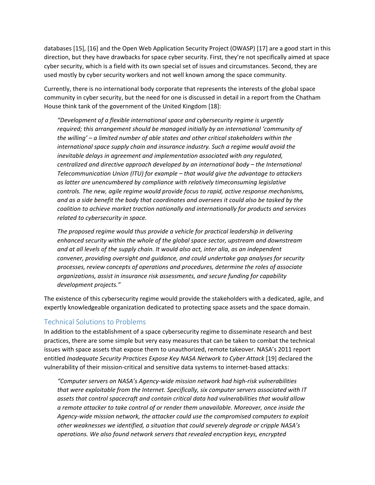databases [15], [16] and the Open Web Application Security Project (OWASP) [17] are a good start in this direction, but they have drawbacks for space cyber security. First, they're not specifically aimed at space cyber security, which is a field with its own special set of issues and circumstances. Second, they are used mostly by cyber security workers and not well known among the space community.

Currently, there is no international body corporate that represents the interests of the global space community in cyber security, but the need for one is discussed in detail in a report from the Chatham House think tank of the government of the United Kingdom [18]:

*"Development of a flexible international space and cybersecurity regime is urgently required; this arrangement should be managed initially by an international 'community of the willing' – a limited number of able states and other critical stakeholders within the international space supply chain and insurance industry. Such a regime would avoid the inevitable delays in agreement and implementation associated with any regulated, centralized and directive approach developed by an international body – the International Telecommunication Union (ITU) for example – that would give the advantage to attackers as latter are unencumbered by compliance with relatively timeconsuming legislative controls. The new, agile regime would provide focus to rapid, active response mechanisms, and as a side benefit the body that coordinates and oversees it could also be tasked by the coalition to achieve market traction nationally and internationally for products and services related to cybersecurity in space.*

*The proposed regime would thus provide a vehicle for practical leadership in delivering enhanced security within the whole of the global space sector, upstream and downstream and at all levels of the supply chain. It would also act, inter alia, as an independent convener, providing oversight and guidance, and could undertake gap analyses for security processes, review concepts of operations and procedures, determine the roles of associate organizations, assist in insurance risk assessments, and secure funding for capability development projects."*

The existence of this cybersecurity regime would provide the stakeholders with a dedicated, agile, and expertly knowledgeable organization dedicated to protecting space assets and the space domain.

## <span id="page-14-0"></span>Technical Solutions to Problems

In addition to the establishment of a space cybersecurity regime to disseminate research and best practices, there are some simple but very easy measures that can be taken to combat the technical issues with space assets that expose them to unauthorized, remote takeover. NASA's 2011 report entitled *Inadequate Security Practices Expose Key NASA Network to Cyber Attack* [19] declared the vulnerability of their mission-critical and sensitive data systems to internet-based attacks:

*"Computer servers on NASA's Agency-wide mission network had high-risk vulnerabilities that were exploitable from the Internet. Specifically, six computer servers associated with IT assets that control spacecraft and contain critical data had vulnerabilities that would allow a remote attacker to take control of or render them unavailable. Moreover, once inside the Agency-wide mission network, the attacker could use the compromised computers to exploit other weaknesses we identified, a situation that could severely degrade or cripple NASA's operations. We also found network servers that revealed encryption keys, encrypted*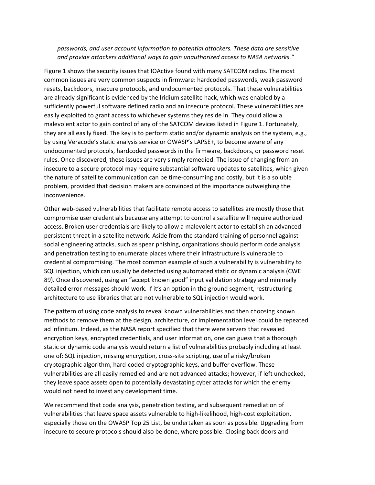*passwords, and user account information to potential attackers. These data are sensitive and provide attackers additional ways to gain unauthorized access to NASA networks."* 

[Figure 1](#page-11-0) shows the security issues that IOActive found with many SATCOM radios. The most common issues are very common suspects in firmware: hardcoded passwords, weak password resets, backdoors, insecure protocols, and undocumented protocols. That these vulnerabilities are already significant is evidenced by the Iridium satellite hack, which was enabled by a sufficiently powerful software defined radio and an insecure protocol. These vulnerabilities are easily exploited to grant access to whichever systems they reside in. They could allow a malevolent actor to gain control of any of the SATCOM devices listed in [Figure 1.](#page-11-0) Fortunately, they are all easily fixed. The key is to perform static and/or dynamic analysis on the system, e.g., by using Veracode's static analysis service or OWASP's LAPSE+, to become aware of any undocumented protocols, hardcoded passwords in the firmware, backdoors, or password reset rules. Once discovered, these issues are very simply remedied. The issue of changing from an insecure to a secure protocol may require substantial software updates to satellites, which given the nature of satellite communication can be time-consuming and costly, but it is a soluble problem, provided that decision makers are convinced of the importance outweighing the inconvenience.

Other web-based vulnerabilities that facilitate remote access to satellites are mostly those that compromise user credentials because any attempt to control a satellite will require authorized access. Broken user credentials are likely to allow a malevolent actor to establish an advanced persistent threat in a satellite network. Aside from the standard training of personnel against social engineering attacks, such as spear phishing, organizations should perform code analysis and penetration testing to enumerate places where their infrastructure is vulnerable to credential compromising. The most common example of such a vulnerability is vulnerability to SQL injection, which can usually be detected using automated static or dynamic analysis (CWE 89). Once discovered, using an "accept known good" input validation strategy and minimally detailed error messages should work. If it's an option in the ground segment, restructuring architecture to use libraries that are not vulnerable to SQL injection would work.

The pattern of using code analysis to reveal known vulnerabilities and then choosing known methods to remove them at the design, architecture, or implementation level could be repeated ad infinitum. Indeed, as the NASA report specified that there were servers that revealed encryption keys, encrypted credentials, and user information, one can guess that a thorough static or dynamic code analysis would return a list of vulnerabilities probably including at least one of: SQL injection, missing encryption, cross-site scripting, use of a risky/broken cryptographic algorithm, hard-coded cryptographic keys, and buffer overflow. These vulnerabilities are all easily remedied and are not advanced attacks; however, if left unchecked, they leave space assets open to potentially devastating cyber attacks for which the enemy would not need to invest any development time.

We recommend that code analysis, penetration testing, and subsequent remediation of vulnerabilities that leave space assets vulnerable to high-likelihood, high-cost exploitation, especially those on the OWASP Top 25 List, be undertaken as soon as possible. Upgrading from insecure to secure protocols should also be done, where possible. Closing back doors and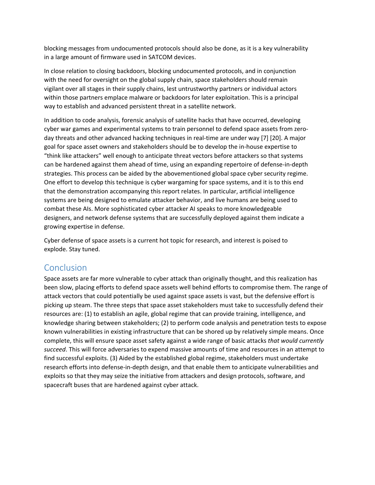blocking messages from undocumented protocols should also be done, as it is a key vulnerability in a large amount of firmware used in SATCOM devices.

In close relation to closing backdoors, blocking undocumented protocols, and in conjunction with the need for oversight on the global supply chain, space stakeholders should remain vigilant over all stages in their supply chains, lest untrustworthy partners or individual actors within those partners emplace malware or backdoors for later exploitation. This is a principal way to establish and advanced persistent threat in a satellite network.

In addition to code analysis, forensic analysis of satellite hacks that have occurred, developing cyber war games and experimental systems to train personnel to defend space assets from zeroday threats and other advanced hacking techniques in real-time are under way [7] [20]. A major goal for space asset owners and stakeholders should be to develop the in-house expertise to "think like attackers" well enough to anticipate threat vectors before attackers so that systems can be hardened against them ahead of time, using an expanding repertoire of defense-in-depth strategies. This process can be aided by the abovementioned global space cyber security regime. One effort to develop this technique is cyber wargaming for space systems, and it is to this end that the demonstration accompanying this report relates. In particular, artificial intelligence systems are being designed to emulate attacker behavior, and live humans are being used to combat these AIs. More sophisticated cyber attacker AI speaks to more knowledgeable designers, and network defense systems that are successfully deployed against them indicate a growing expertise in defense.

Cyber defense of space assets is a current hot topic for research, and interest is poised to explode. Stay tuned.

# <span id="page-16-0"></span>Conclusion

Space assets are far more vulnerable to cyber attack than originally thought, and this realization has been slow, placing efforts to defend space assets well behind efforts to compromise them. The range of attack vectors that could potentially be used against space assets is vast, but the defensive effort is picking up steam. The three steps that space asset stakeholders must take to successfully defend their resources are: (1) to establish an agile, global regime that can provide training, intelligence, and knowledge sharing between stakeholders; (2) to perform code analysis and penetration tests to expose known vulnerabilities in existing infrastructure that can be shored up by relatively simple means. Once complete, this will ensure space asset safety against a wide range of basic attacks *that would currently succeed*. This will force adversaries to expend massive amounts of time and resources in an attempt to find successful exploits. (3) Aided by the established global regime, stakeholders must undertake research efforts into defense-in-depth design, and that enable them to anticipate vulnerabilities and exploits so that they may seize the initiative from attackers and design protocols, software, and spacecraft buses that are hardened against cyber attack.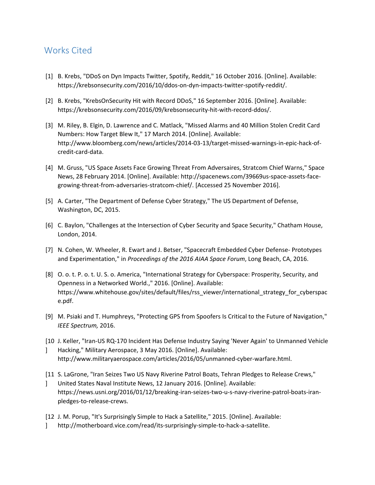# <span id="page-17-0"></span>Works Cited

- [1] B. Krebs, "DDoS on Dyn Impacts Twitter, Spotify, Reddit," 16 October 2016. [Online]. Available: https://krebsonsecurity.com/2016/10/ddos-on-dyn-impacts-twitter-spotify-reddit/.
- [2] B. Krebs, "KrebsOnSecurity Hit with Record DDoS," 16 September 2016. [Online]. Available: https://krebsonsecurity.com/2016/09/krebsonsecurity-hit-with-record-ddos/.
- [3] M. Riley, B. Elgin, D. Lawrence and C. Matlack, "Missed Alarms and 40 Million Stolen Credit Card Numbers: How Target Blew It," 17 March 2014. [Online]. Available: http://www.bloomberg.com/news/articles/2014-03-13/target-missed-warnings-in-epic-hack-ofcredit-card-data.
- [4] M. Gruss, "US Space Assets Face Growing Threat From Adversaires, Stratcom Chief Warns," Space News, 28 February 2014. [Online]. Available: http://spacenews.com/39669us-space-assets-facegrowing-threat-from-adversaries-stratcom-chief/. [Accessed 25 November 2016].
- [5] A. Carter, "The Department of Defense Cyber Strategy," The US Department of Defense, Washington, DC, 2015.
- [6] C. Baylon, "Challenges at the Intersection of Cyber Security and Space Security," Chatham House, London, 2014.
- [7] N. Cohen, W. Wheeler, R. Ewart and J. Betser, "Spacecraft Embedded Cyber Defense- Prototypes and Experimentation," in *Proceedings of the 2016 AIAA Space Forum*, Long Beach, CA, 2016.
- [8] O. o. t. P. o. t. U. S. o. America, "International Strategy for Cyberspace: Prosperity, Security, and Openness in a Networked World.," 2016. [Online]. Available: https://www.whitehouse.gov/sites/default/files/rss\_viewer/international\_strategy\_for\_cyberspac e.pdf.
- [9] M. Psiaki and T. Humphreys, "Protecting GPS from Spoofers Is Critical to the Future of Navigation," *IEEE Spectrum,* 2016.
- [10 J. Keller, "Iran-US RQ-170 Incident Has Defense Industry Saying 'Never Again' to Unmanned Vehicle
- $\mathbf{1}$ Hacking," Military Aerospace, 3 May 2016. [Online]. Available: http://www.militaryaerospace.com/articles/2016/05/unmanned-cyber-warfare.html.
- [11 S. LaGrone, "Iran Seizes Two US Navy Riverine Patrol Boats, Tehran Pledges to Release Crews,"
- $\mathbf{1}$ United States Naval Institute News, 12 January 2016. [Online]. Available: https://news.usni.org/2016/01/12/breaking-iran-seizes-two-u-s-navy-riverine-patrol-boats-iranpledges-to-release-crews.
- [12 J. M. Porup, "It's Surprisingly Simple to Hack a Satellite," 2015. [Online]. Available:
- $\mathbf{1}$ http://motherboard.vice.com/read/its-surprisingly-simple-to-hack-a-satellite.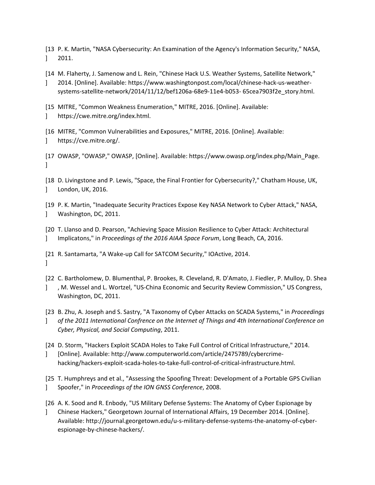- [13 P. K. Martin, "NASA Cybersecurity: An Examination of the Agency's Information Security," NASA, ] 2011.
- [14 M. Flaherty, J. Samenow and L. Rein, "Chinese Hack U.S. Weather Systems, Satellite Network,"  $\mathbf{1}$ 2014. [Online]. Available: https://www.washingtonpost.com/local/chinese-hack-us-weathersystems-satellite-network/2014/11/12/bef1206a-68e9-11e4-b053- 65cea7903f2e\_story.html.
- [15 MITRE, "Common Weakness Enumeration," MITRE, 2016. [Online]. Available:
- $\mathbf{1}$ https://cwe.mitre.org/index.html.
- [16 MITRE, "Common Vulnerabilities and Exposures," MITRE, 2016. [Online]. Available:  $\mathbf{1}$ https://cve.mitre.org/.
- [17 OWASP, "OWASP," OWASP, [Online]. Available: https://www.owasp.org/index.php/Main\_Page.  $\mathbf{1}$
- [18 D. Livingstone and P. Lewis, "Space, the Final Frontier for Cybersecurity?," Chatham House, UK,  $\mathbf{1}$ London, UK, 2016.
- [19 P. K. Martin, "Inadequate Security Practices Expose Key NASA Network to Cyber Attack," NASA, ] Washington, DC, 2011.
- [20 T. Llanso and D. Pearson, "Achieving Space Mission Resilience to Cyber Attack: Architectural  $\mathbf{1}$ Implicatons," in *Proceedings of the 2016 AIAA Space Forum*, Long Beach, CA, 2016.
- [21 R. Santamarta, "A Wake-up Call for SATCOM Security," IOActive, 2014.  $\mathbf{1}$
- [22 C. Bartholomew, D. Blumenthal, P. Brookes, R. Cleveland, R. D'Amato, J. Fiedler, P. Mulloy, D. Shea  $\mathbf{1}$ , M. Wessel and L. Wortzel, "US-China Economic and Security Review Commission," US Congress, Washington, DC, 2011.
- [23 B. Zhu, A. Joseph and S. Sastry, "A Taxonomy of Cyber Attacks on SCADA Systems," in *Proceedings*   $\mathbf{1}$ *of the 2011 International Confrence on the Internet of Things and 4th International Conference on Cyber, Physical, and Social Computing*, 2011.
- [24 D. Storm, "Hackers Exploit SCADA Holes to Take Full Control of Critical Infrastructure," 2014.
- $\mathbf{1}$ [Online]. Available: http://www.computerworld.com/article/2475789/cybercrimehacking/hackers-exploit-scada-holes-to-take-full-control-of-critical-infrastructure.html.

[25 T. Humphreys and et al., "Assessing the Spoofing Threat: Development of a Portable GPS Civilian  $\mathbf{1}$ Spoofer," in *Proceedings of the ION GNSS Conference*, 2008.

- [26 A. K. Sood and R. Enbody, "US Military Defense Systems: The Anatomy of Cyber Espionage by
- $\mathbf{1}$ Chinese Hackers," Georgetown Journal of International Affairs, 19 December 2014. [Online]. Available: http://journal.georgetown.edu/u-s-military-defense-systems-the-anatomy-of-cyberespionage-by-chinese-hackers/.